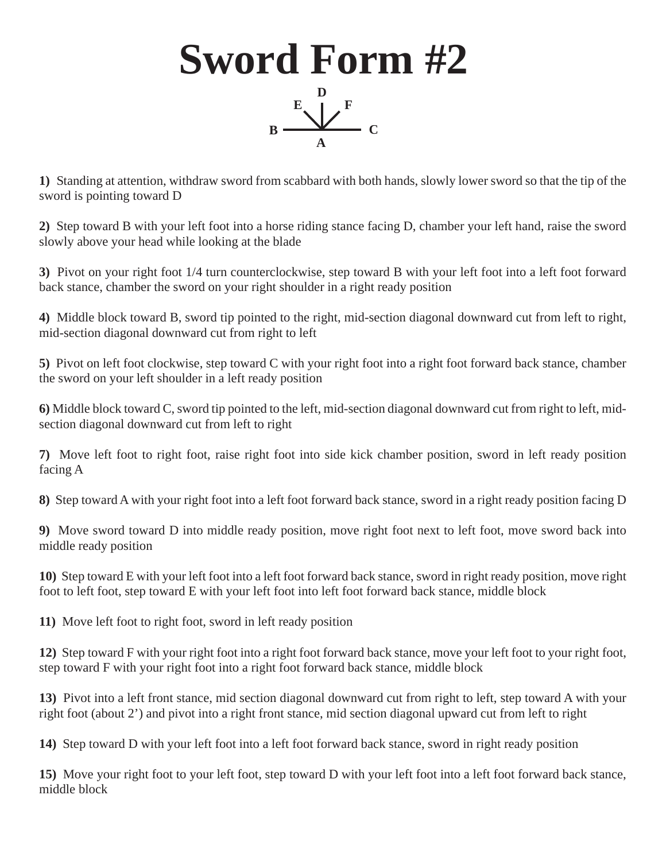

**1)** Standing at attention, withdraw sword from scabbard with both hands, slowly lower sword so that the tip of the sword is pointing toward D

**2)** Step toward B with your left foot into a horse riding stance facing D, chamber your left hand, raise the sword slowly above your head while looking at the blade

**3)** Pivot on your right foot 1/4 turn counterclockwise, step toward B with your left foot into a left foot forward back stance, chamber the sword on your right shoulder in a right ready position

**4)** Middle block toward B, sword tip pointed to the right, mid-section diagonal downward cut from left to right, mid-section diagonal downward cut from right to left

**5)** Pivot on left foot clockwise, step toward C with your right foot into a right foot forward back stance, chamber the sword on your left shoulder in a left ready position

**6)** Middle block toward C, sword tip pointed to the left, mid-section diagonal downward cut from right to left, midsection diagonal downward cut from left to right

**7)** Move left foot to right foot, raise right foot into side kick chamber position, sword in left ready position facing A

**8)** Step toward A with your right foot into a left foot forward back stance, sword in a right ready position facing D

**9)** Move sword toward D into middle ready position, move right foot next to left foot, move sword back into middle ready position

**10)** Step toward E with your left foot into a left foot forward back stance, sword in right ready position, move right foot to left foot, step toward E with your left foot into left foot forward back stance, middle block

**11)** Move left foot to right foot, sword in left ready position

**12)** Step toward F with your right foot into a right foot forward back stance, move your left foot to your right foot, step toward F with your right foot into a right foot forward back stance, middle block

**13)** Pivot into a left front stance, mid section diagonal downward cut from right to left, step toward A with your right foot (about 2') and pivot into a right front stance, mid section diagonal upward cut from left to right

**14)** Step toward D with your left foot into a left foot forward back stance, sword in right ready position

**15)** Move your right foot to your left foot, step toward D with your left foot into a left foot forward back stance, middle block